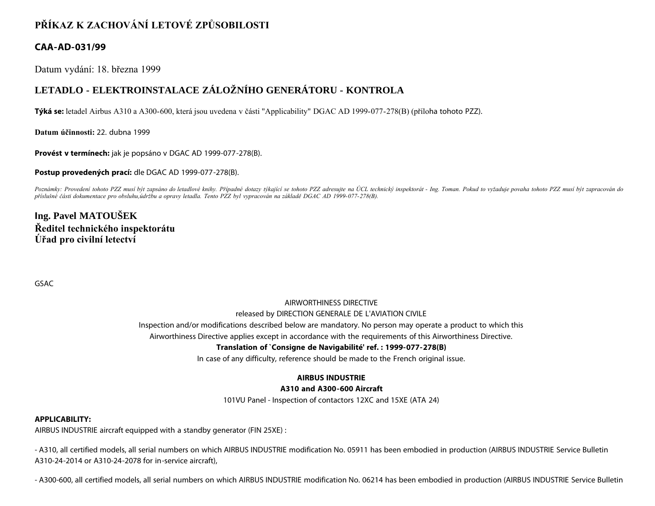# **PŘÍKAZ K ZACHOVÁNÍ LETOVÉ ZPŮSOBILOSTI**

# **CAA-AD-031/99**

Datum vydání: 18. března 1999

# **LETADLO - ELEKTROINSTALACE ZÁLOŽNÍHO GENERÁTORU - KONTROLA**

**Týká se:** letadel Airbus A310 a A300-600, která jsou uvedena v části "Applicability" DGAC AD 1999-077-278(B) (příloha tohoto PZZ).

**Datum účinnosti:** 22. dubna 1999

**Provést v termínech:** jak je popsáno v DGAC AD 1999-077-278(B).

**Postup provedených prací:** dle DGAC AD 1999-077-278(B).

Poznámky: Provedení tohoto PZZ musí být zapsáno do letadlové knihy. Případné dotazy týkající se tohoto PZZ adresujte na ÚCL technický inspektorát - Ing. Toman. Pokud to vyžaduje povaha tohoto PZZ musí být zapracován do *příslušné části dokumentace pro obsluhu,údržbu a opravy letadla. Tento PZZ byl vypracován na základě DGAC AD 1999-077-278(B).*

# **Ing. Pavel MATOUŠEK Ředitel technického inspektorátu Úřad pro civilní letectví**

GSAC

# AIRWORTHINESS DIRECTIVE

#### released by DIRECTION GENERALE DE L'AVIATION CIVILE

Inspection and/or modifications described below are mandatory. No person may operate a product to which this

Airworthiness Directive applies except in accordance with the requirements of this Airworthiness Directive.

### **Translation of `Consigne de Navigabilité' ref. : 1999-077-278(B)**

In case of any difficulty, reference should be made to the French original issue.

# **AIRBUS INDUSTRIE**

### **A310 and A300-600 Aircraft**

101VU Panel - Inspection of contactors 12XC and 15XE (ATA 24)

### **APPLICABILITY:**

AIRBUS INDUSTRIE aircraft equipped with a standby generator (FIN 25XE) :

- A310, all certified models, all serial numbers on which AIRBUS INDUSTRIE modification No. 05911 has been embodied in production (AIRBUS INDUSTRIE Service Bulletin A310-24-2014 or A310-24-2078 for in-service aircraft),

- A300-600, all certified models, all serial numbers on which AIRBUS INDUSTRIE modification No. 06214 has been embodied in production (AIRBUS INDUSTRIE Service Bulletin